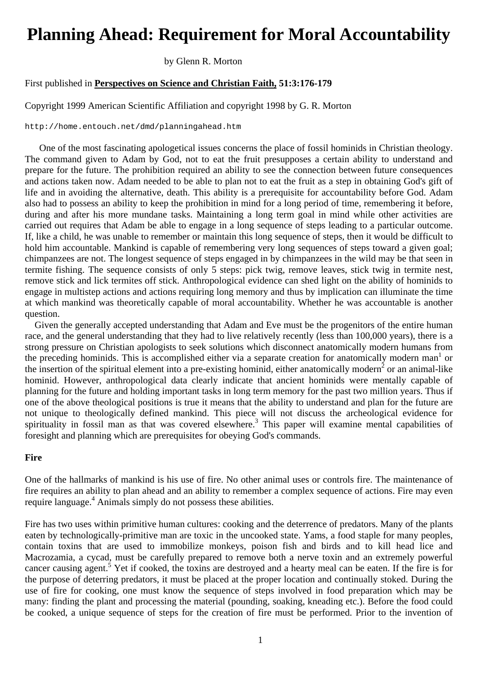# **Planning Ahead: Requirement for Moral Accountability**

by Glenn R. Morton

## First published in **Perspectives on Science and Christian Faith, 51:3:176-179**

Copyright 1999 American Scientific Affiliation and copyright 1998 by G. R. Morton

http://home.entouch.net/dmd/planningahead.htm

One of the most fascinating apologetical issues concerns the place of fossil hominids in Christian theology. The command given to Adam by God, not to eat the fruit presupposes a certain ability to understand and prepare for the future. The prohibition required an ability to see the connection between future consequences and actions taken now. Adam needed to be able to plan not to eat the fruit as a step in obtaining God's gift of life and in avoiding the alternative, death. This ability is a prerequisite for accountability before God. Adam also had to possess an ability to keep the prohibition in mind for a long period of time, remembering it before, during and after his more mundane tasks. Maintaining a long term goal in mind while other activities are carried out requires that Adam be able to engage in a long sequence of steps leading to a particular outcome. If, like a child, he was unable to remember or maintain this long sequence of steps, then it would be difficult to hold him accountable. Mankind is capable of remembering very long sequences of steps toward a given goal; chimpanzees are not. The longest sequence of steps engaged in by chimpanzees in the wild may be that seen in termite fishing. The sequence consists of only 5 steps: pick twig, remove leaves, stick twig in termite nest, remove stick and lick termites off stick. Anthropological evidence can shed light on the ability of hominids to engage in multistep actions and actions requiring long memory and thus by implication can illuminate the time at which mankind was theoretically capable of moral accountability. Whether he was accountable is another question.

 Given the generally accepted understanding that Adam and Eve must be the progenitors of the entire human race, and the general understanding that they had to live relatively recently (less than 100,000 years), there is a strong pressure on Christian apologists to seek solutions which disconnect anatomically modern humans from the preceding hominids. This is accomplished either via a separate creation for anatomically modern man<sup>1</sup> or the insertion of the spiritual element into a pre-existing hominid, either anatomically modern<sup>2</sup> or an animal-like hominid. However, anthropological data clearly indicate that ancient hominids were mentally capable of planning for the future and holding important tasks in long term memory for the past two million years. Thus if one of the above theological positions is true it means that the ability to understand and plan for the future are not unique to theologically defined mankind. This piece will not discuss the archeological evidence for spirituality in fossil man as that was covered elsewhere.<sup>3</sup> This paper will examine mental capabilities of foresight and planning which are prerequisites for obeying God's commands.

### **Fire**

One of the hallmarks of mankind is his use of fire. No other animal uses or controls fire. The maintenance of fire requires an ability to plan ahead and an ability to remember a complex sequence of actions. Fire may even require language.<sup>4</sup> Animals simply do not possess these abilities.

Fire has two uses within primitive human cultures: cooking and the deterrence of predators. Many of the plants eaten by technologically-primitive man are toxic in the uncooked state. Yams, a food staple for many peoples, contain toxins that are used to immobilize monkeys, poison fish and birds and to kill head lice and Macrozamia, a cycad, must be carefully prepared to remove both a nerve toxin and an extremely powerful cancer causing agent.<sup>5</sup> Yet if cooked, the toxins are destroyed and a hearty meal can be eaten. If the fire is for the purpose of deterring predators, it must be placed at the proper location and continually stoked. During the use of fire for cooking, one must know the sequence of steps involved in food preparation which may be many: finding the plant and processing the material (pounding, soaking, kneading etc.). Before the food could be cooked, a unique sequence of steps for the creation of fire must be performed. Prior to the invention of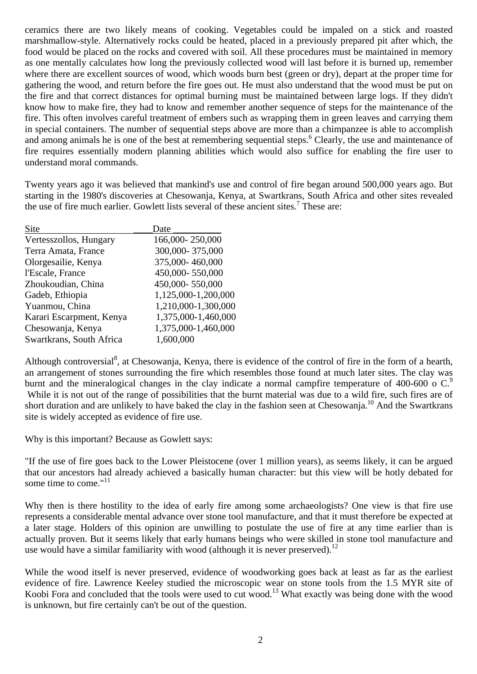ceramics there are two likely means of cooking. Vegetables could be impaled on a stick and roasted marshmallow-style. Alternatively rocks could be heated, placed in a previously prepared pit after which, the food would be placed on the rocks and covered with soil. All these procedures must be maintained in memory as one mentally calculates how long the previously collected wood will last before it is burned up, remember where there are excellent sources of wood, which woods burn best (green or dry), depart at the proper time for gathering the wood, and return before the fire goes out. He must also understand that the wood must be put on the fire and that correct distances for optimal burning must be maintained between large logs. If they didn't know how to make fire, they had to know and remember another sequence of steps for the maintenance of the fire. This often involves careful treatment of embers such as wrapping them in green leaves and carrying them in special containers. The number of sequential steps above are more than a chimpanzee is able to accomplish and among animals he is one of the best at remembering sequential steps.<sup>6</sup> Clearly, the use and maintenance of fire requires essentially modern planning abilities which would also suffice for enabling the fire user to understand moral commands.

Twenty years ago it was believed that mankind's use and control of fire began around 500,000 years ago. But starting in the 1980's discoveries at Chesowanja, Kenya, at Swartkrans, South Africa and other sites revealed the use of fire much earlier. Gowlett lists several of these ancient sites.<sup>7</sup> These are:

| Site                     | Date                |
|--------------------------|---------------------|
| Vertesszollos, Hungary   | 166,000-250,000     |
| Terra Amata, France      | 300,000-375,000     |
| Olorgesailie, Kenya      | 375,000-460,000     |
| l'Escale, France         | 450,000-550,000     |
| Zhoukoudian, China       | 450,000-550,000     |
| Gadeb, Ethiopia          | 1,125,000-1,200,000 |
| Yuanmou, China           | 1,210,000-1,300,000 |
| Karari Escarpment, Kenya | 1,375,000-1,460,000 |
| Chesowanja, Kenya        | 1,375,000-1,460,000 |
| Swartkrans, South Africa | 1,600,000           |

Although controversial<sup>8</sup>, at Chesowanja, Kenya, there is evidence of the control of fire in the form of a hearth, an arrangement of stones surrounding the fire which resembles those found at much later sites. The clay was burnt and the mineralogical changes in the clay indicate a normal campfire temperature of 400-600 o C.<sup>9</sup> While it is not out of the range of possibilities that the burnt material was due to a wild fire, such fires are of short duration and are unlikely to have baked the clay in the fashion seen at Chesowanja.<sup>10</sup> And the Swartkrans site is widely accepted as evidence of fire use.

Why is this important? Because as Gowlett says:

"If the use of fire goes back to the Lower Pleistocene (over 1 million years), as seems likely, it can be argued that our ancestors had already achieved a basically human character: but this view will be hotly debated for some time to come."<sup>11</sup>

Why then is there hostility to the idea of early fire among some archaeologists? One view is that fire use represents a considerable mental advance over stone tool manufacture, and that it must therefore be expected at a later stage. Holders of this opinion are unwilling to postulate the use of fire at any time earlier than is actually proven. But it seems likely that early humans beings who were skilled in stone tool manufacture and use would have a similar familiarity with wood (although it is never preserved).<sup>12</sup>

While the wood itself is never preserved, evidence of woodworking goes back at least as far as the earliest evidence of fire. Lawrence Keeley studied the microscopic wear on stone tools from the 1.5 MYR site of Koobi Fora and concluded that the tools were used to cut wood.13 What exactly was being done with the wood is unknown, but fire certainly can't be out of the question.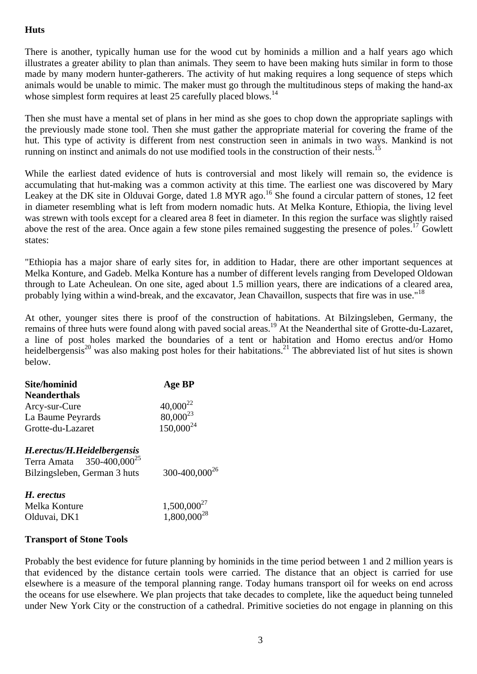# **Huts**

There is another, typically human use for the wood cut by hominids a million and a half years ago which illustrates a greater ability to plan than animals. They seem to have been making huts similar in form to those made by many modern hunter-gatherers. The activity of hut making requires a long sequence of steps which animals would be unable to mimic. The maker must go through the multitudinous steps of making the hand-ax whose simplest form requires at least 25 carefully placed blows.<sup>14</sup>

Then she must have a mental set of plans in her mind as she goes to chop down the appropriate saplings with the previously made stone tool. Then she must gather the appropriate material for covering the frame of the hut. This type of activity is different from nest construction seen in animals in two ways. Mankind is not running on instinct and animals do not use modified tools in the construction of their nests.<sup>15</sup>

While the earliest dated evidence of huts is controversial and most likely will remain so, the evidence is accumulating that hut-making was a common activity at this time. The earliest one was discovered by Mary Leakey at the DK site in Olduvai Gorge, dated 1.8 MYR ago.<sup>16</sup> She found a circular pattern of stones, 12 feet in diameter resembling what is left from modern nomadic huts. At Melka Konture, Ethiopia, the living level was strewn with tools except for a cleared area 8 feet in diameter. In this region the surface was slightly raised above the rest of the area. Once again a few stone piles remained suggesting the presence of poles.<sup>17</sup> Gowlett states:

"Ethiopia has a major share of early sites for, in addition to Hadar, there are other important sequences at Melka Konture, and Gadeb. Melka Konture has a number of different levels ranging from Developed Oldowan through to Late Acheulean. On one site, aged about 1.5 million years, there are indications of a cleared area, probably lying within a wind-break, and the excavator, Jean Chavaillon, suspects that fire was in use."<sup>18</sup>

At other, younger sites there is proof of the construction of habitations. At Bilzingsleben, Germany, the remains of three huts were found along with paved social areas.19 At the Neanderthal site of Grotte-du-Lazaret, a line of post holes marked the boundaries of a tent or habitation and Homo erectus and/or Homo heidelbergensis<sup>20</sup> was also making post holes for their habitations.<sup>21</sup> The abbreviated list of hut sites is shown below.

| Site/hominid                                                         | Age BP                               |
|----------------------------------------------------------------------|--------------------------------------|
| <b>Neanderthals</b>                                                  |                                      |
| Arcy-sur-Cure                                                        | $40,000^{22}$<br>$80,000^{23}$       |
| La Baume Peyrards                                                    |                                      |
| Grotte-du-Lazaret                                                    | $150,000^{24}$                       |
| H.erectus/H.Heidelbergensis<br>Terra Amata 350-400,000 <sup>25</sup> |                                      |
| Bilzingsleben, German 3 huts                                         | 300-400,000 <sup>26</sup>            |
| H. erectus                                                           |                                      |
| Melka Konture                                                        | $1,500,000^{27}$<br>$1,800,000^{28}$ |
| Olduvai, DK1                                                         |                                      |

### **Transport of Stone Tools**

Probably the best evidence for future planning by hominids in the time period between 1 and 2 million years is that evidenced by the distance certain tools were carried. The distance that an object is carried for use elsewhere is a measure of the temporal planning range. Today humans transport oil for weeks on end across the oceans for use elsewhere. We plan projects that take decades to complete, like the aqueduct being tunneled under New York City or the construction of a cathedral. Primitive societies do not engage in planning on this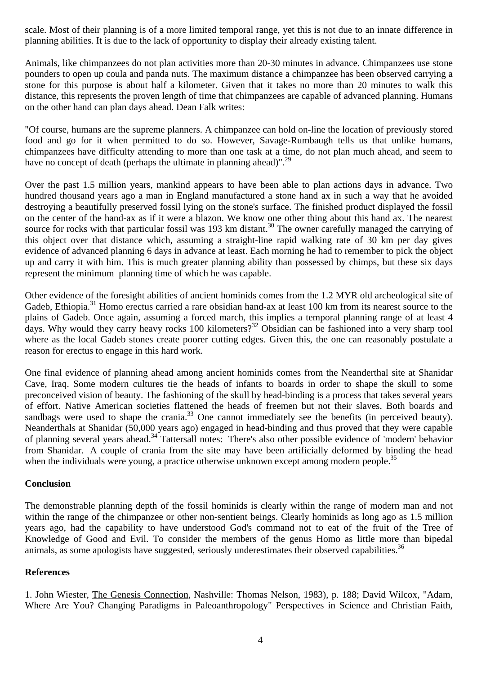scale. Most of their planning is of a more limited temporal range, yet this is not due to an innate difference in planning abilities. It is due to the lack of opportunity to display their already existing talent.

Animals, like chimpanzees do not plan activities more than 20-30 minutes in advance. Chimpanzees use stone pounders to open up coula and panda nuts. The maximum distance a chimpanzee has been observed carrying a stone for this purpose is about half a kilometer. Given that it takes no more than 20 minutes to walk this distance, this represents the proven length of time that chimpanzees are capable of advanced planning. Humans on the other hand can plan days ahead. Dean Falk writes:

"Of course, humans are the supreme planners. A chimpanzee can hold on-line the location of previously stored food and go for it when permitted to do so. However, Savage-Rumbaugh tells us that unlike humans, chimpanzees have difficulty attending to more than one task at a time, do not plan much ahead, and seem to have no concept of death (perhaps the ultimate in planning ahead)".<sup>29</sup>

Over the past 1.5 million years, mankind appears to have been able to plan actions days in advance. Two hundred thousand years ago a man in England manufactured a stone hand ax in such a way that he avoided destroying a beautifully preserved fossil lying on the stone's surface. The finished product displayed the fossil on the center of the hand-ax as if it were a blazon. We know one other thing about this hand ax. The nearest source for rocks with that particular fossil was 193 km distant.<sup>30</sup> The owner carefully managed the carrying of this object over that distance which, assuming a straight-line rapid walking rate of 30 km per day gives evidence of advanced planning 6 days in advance at least. Each morning he had to remember to pick the object up and carry it with him. This is much greater planning ability than possessed by chimps, but these six days represent the minimum planning time of which he was capable.

Other evidence of the foresight abilities of ancient hominids comes from the 1.2 MYR old archeological site of Gadeb, Ethiopia.<sup>31</sup> Homo erectus carried a rare obsidian hand-ax at least 100 km from its nearest source to the plains of Gadeb. Once again, assuming a forced march, this implies a temporal planning range of at least 4 days. Why would they carry heavy rocks 100 kilometers?<sup>32</sup> Obsidian can be fashioned into a very sharp tool where as the local Gadeb stones create poorer cutting edges. Given this, the one can reasonably postulate a reason for erectus to engage in this hard work.

One final evidence of planning ahead among ancient hominids comes from the Neanderthal site at Shanidar Cave, Iraq. Some modern cultures tie the heads of infants to boards in order to shape the skull to some preconceived vision of beauty. The fashioning of the skull by head-binding is a process that takes several years of effort. Native American societies flattened the heads of freemen but not their slaves. Both boards and sandbags were used to shape the crania.<sup>33</sup> One cannot immediately see the benefits (in perceived beauty). Neanderthals at Shanidar (50,000 years ago) engaged in head-binding and thus proved that they were capable of planning several years ahead.<sup>34</sup> Tattersall notes: There's also other possible evidence of 'modern' behavior from Shanidar. A couple of crania from the site may have been artificially deformed by binding the head when the individuals were young, a practice otherwise unknown except among modern people.<sup>35</sup>

# **Conclusion**

The demonstrable planning depth of the fossil hominids is clearly within the range of modern man and not within the range of the chimpanzee or other non-sentient beings. Clearly hominids as long ago as 1.5 million years ago, had the capability to have understood God's command not to eat of the fruit of the Tree of Knowledge of Good and Evil. To consider the members of the genus Homo as little more than bipedal animals, as some apologists have suggested, seriously underestimates their observed capabilities.<sup>36</sup>

# **References**

1. John Wiester, The Genesis Connection, Nashville: Thomas Nelson, 1983), p. 188; David Wilcox, "Adam, Where Are You? Changing Paradigms in Paleoanthropology" Perspectives in Science and Christian Faith,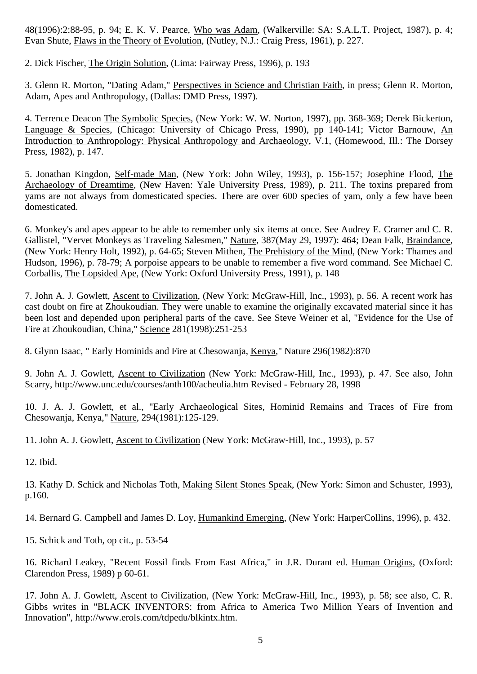48(1996):2:88-95, p. 94; E. K. V. Pearce, Who was Adam, (Walkerville: SA: S.A.L.T. Project, 1987), p. 4; Evan Shute, Flaws in the Theory of Evolution, (Nutley, N.J.: Craig Press, 1961), p. 227.

2. Dick Fischer, The Origin Solution, (Lima: Fairway Press, 1996), p. 193

3. Glenn R. Morton, "Dating Adam," Perspectives in Science and Christian Faith, in press; Glenn R. Morton, Adam, Apes and Anthropology, (Dallas: DMD Press, 1997).

4. Terrence Deacon The Symbolic Species, (New York: W. W. Norton, 1997), pp. 368-369; Derek Bickerton, Language & Species, (Chicago: University of Chicago Press, 1990), pp 140-141; Victor Barnouw, An Introduction to Anthropology: Physical Anthropology and Archaeology, V.1, (Homewood, Ill.: The Dorsey Press, 1982), p. 147.

5. Jonathan Kingdon, Self-made Man, (New York: John Wiley, 1993), p. 156-157; Josephine Flood, The Archaeology of Dreamtime, (New Haven: Yale University Press, 1989), p. 211. The toxins prepared from yams are not always from domesticated species. There are over 600 species of yam, only a few have been domesticated.

6. Monkey's and apes appear to be able to remember only six items at once. See Audrey E. Cramer and C. R. Gallistel, "Vervet Monkeys as Traveling Salesmen," Nature, 387(May 29, 1997): 464; Dean Falk, Braindance, (New York: Henry Holt, 1992), p. 64-65; Steven Mithen, The Prehistory of the Mind, (New York: Thames and Hudson, 1996), p. 78-79; A porpoise appears to be unable to remember a five word command. See Michael C. Corballis, The Lopsided Ape, (New York: Oxford University Press, 1991), p. 148

7. John A. J. Gowlett, Ascent to Civilization, (New York: McGraw-Hill, Inc., 1993), p. 56. A recent work has cast doubt on fire at Zhoukoudian. They were unable to examine the originally excavated material since it has been lost and depended upon peripheral parts of the cave. See Steve Weiner et al, "Evidence for the Use of Fire at Zhoukoudian, China," Science 281(1998):251-253

8. Glynn Isaac, " Early Hominids and Fire at Chesowanja, Kenya," Nature 296(1982):870

9. John A. J. Gowlett, Ascent to Civilization (New York: McGraw-Hill, Inc., 1993), p. 47. See also, John Scarry, http://www.unc.edu/courses/anth100/acheulia.htm Revised - February 28, 1998

10. J. A. J. Gowlett, et al., "Early Archaeological Sites, Hominid Remains and Traces of Fire from Chesowanja, Kenya," Nature, 294(1981):125-129.

11. John A. J. Gowlett, Ascent to Civilization (New York: McGraw-Hill, Inc., 1993), p. 57

12. Ibid.

13. Kathy D. Schick and Nicholas Toth, Making Silent Stones Speak, (New York: Simon and Schuster, 1993), p.160.

14. Bernard G. Campbell and James D. Loy, Humankind Emerging, (New York: HarperCollins, 1996), p. 432.

15. Schick and Toth, op cit., p. 53-54

16. Richard Leakey, "Recent Fossil finds From East Africa," in J.R. Durant ed. Human Origins, (Oxford: Clarendon Press, 1989) p 60-61.

17. John A. J. Gowlett, Ascent to Civilization, (New York: McGraw-Hill, Inc., 1993), p. 58; see also, C. R. Gibbs writes in "BLACK INVENTORS: from Africa to America Two Million Years of Invention and Innovation", http://www.erols.com/tdpedu/blkintx.htm.